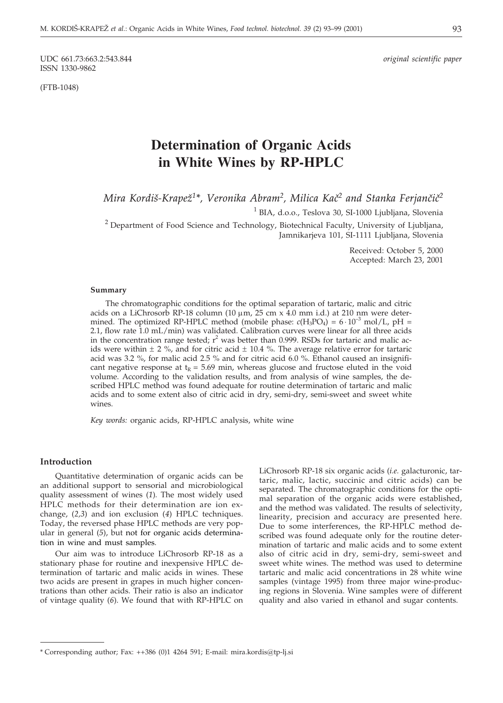UDC 661.73:663.2:543.844 *original scientific paper* ISSN 1330-9862

(FTB-1048)

# **Determination of Organic Acids in White Wines by RP-HPLC**

*Mira Kordiš-Krapež<sup>1\*</sup>, Veronika Abram<sup>2</sup>, Milica Kač<sup>2</sup> and Stanka Ferjančič<sup>2</sup>* 

<sup>1</sup> BIA, d.o.o., Teslova 30, SI-1000 Ljubljana, Slovenia

<sup>2</sup> Department of Food Science and Technology, Biotechnical Faculty, University of Ljubljana, Jamnikarjeva 101, SI-1111 Ljubljana, Slovenia

> Received: October 5, 2000 Accepted: March 23, 2001

#### **Summary**

The chromatographic conditions for the optimal separation of tartaric, malic and citric acids on a LiChrosorb RP-18 column (10  $\mu$ m, 25 cm x 4.0 mm i.d.) at 210 nm were determined. The optimized RP-HPLC method (mobile phase:  $c(H_3PO_4) = 6 \cdot 10^{-3}$  mol/L, pH = 2.1, flow rate 1.0 mL/min) was validated. Calibration curves were linear for all three acids in the concentration range tested;  $r^2$  was better than 0.999. RSDs for tartaric and malic acids were within  $\pm 2\%$ , and for citric acid  $\pm 10.4\%$ . The average relative error for tartaric acid was 3.2 %, for malic acid 2.5 % and for citric acid 6.0 %. Ethanol caused an insignificant negative response at  $t<sub>R</sub> = 5.69$  min, whereas glucose and fructose eluted in the void volume. According to the validation results, and from analysis of wine samples, the described HPLC method was found adequate for routine determination of tartaric and malic acids and to some extent also of citric acid in dry, semi-dry, semi-sweet and sweet white wines.

*Key words:* organic acids, RP-HPLC analysis, white wine

## **Introduction**

Quantitative determination of organic acids can be an additional support to sensorial and microbiological quality assessment of wines (*1*)*.* The most widely used HPLC methods for their determination are ion exchange, (*2,3*) and ion exclusion (*4*) HPLC techniques. Today, the reversed phase HPLC methods are very popular in general (*5*), but not for organic acids determination in wine and must samples.

Our aim was to introduce LiChrosorb RP-18 as a stationary phase for routine and inexpensive HPLC determination of tartaric and malic acids in wines. These two acids are present in grapes in much higher concentrations than other acids. Their ratio is also an indicator of vintage quality (*6*). We found that with RP-HPLC on

LiChrosorb RP-18 six organic acids (*i.e.* galacturonic, tartaric, malic, lactic, succinic and citric acids) can be separated. The chromatographic conditions for the optimal separation of the organic acids were established, and the method was validated. The results of selectivity, linearity, precision and accuracy are presented here. Due to some interferences, the RP-HPLC method described was found adequate only for the routine determination of tartaric and malic acids and to some extent also of citric acid in dry, semi-dry, semi-sweet and sweet white wines. The method was used to determine tartaric and malic acid concentrations in 28 white wine samples (vintage 1995) from three major wine-producing regions in Slovenia. Wine samples were of different quality and also varied in ethanol and sugar contents.

<sup>\*</sup> Corresponding author; Fax: ++386 (0)1 4264 591; E-mail: mira.kordis*@*tp-lj.si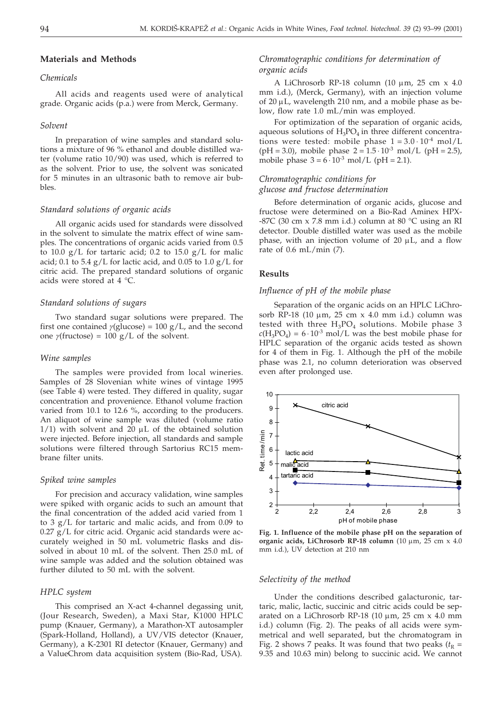## **Materials and Methods**

# *Chemicals*

All acids and reagents used were of analytical grade. Organic acids (p.a.) were from Merck, Germany.

## *Solvent*

In preparation of wine samples and standard solutions a mixture of 96 % ethanol and double distilled water (volume ratio 10/90) was used, which is referred to as the solvent. Prior to use, the solvent was sonicated for 5 minutes in an ultrasonic bath to remove air bubbles.

## *Standard solutions of organic acids*

All organic acids used for standards were dissolved in the solvent to simulate the matrix effect of wine samples. The concentrations of organic acids varied from 0.5 to 10.0  $g/L$  for tartaric acid; 0.2 to 15.0  $g/L$  for malic acid; 0.1 to 5.4  $g/L$  for lactic acid, and 0.05 to 1.0  $g/L$  for citric acid. The prepared standard solutions of organic acids were stored at 4 °C.

### *Standard solutions of sugars*

Two standard sugar solutions were prepared. The first one contained  $\gamma$ (glucose) = 100 g/L, and the second one  $\gamma$ (fructose) = 100 g/L of the solvent.

### *Wine samples*

The samples were provided from local wineries. Samples of 28 Slovenian white wines of vintage 1995 (see Table 4) were tested. They differed in quality, sugar concentration and provenience. Ethanol volume fraction varied from 10.1 to 12.6 %, according to the producers. An aliquot of wine sample was diluted (volume ratio  $1/1$ ) with solvent and  $20 \mu L$  of the obtained solution were injected. Before injection, all standards and sample solutions were filtered through Sartorius RC15 membrane filter units.

#### *Spiked wine samples*

For precision and accuracy validation, wine samples were spiked with organic acids to such an amount that the final concentration of the added acid varied from 1 to 3 g/L for tartaric and malic acids, and from 0.09 to 0.27 g/L for citric acid. Organic acid standards were accurately weighed in 50 mL volumetric flasks and dissolved in about 10 mL of the solvent. Then 25.0 mL of wine sample was added and the solution obtained was further diluted to 50 mL with the solvent.

## *HPLC system*

This comprised an X-act 4-channel degassing unit, (Jour Research, Sweden), a Maxi Star, K1000 HPLC pump (Knauer, Germany), a Marathon-XT autosampler (Spark-Holland, Holland), a UV/VIS detector (Knauer, Germany), a K-2301 RI detector (Knauer, Germany) and a ValueChrom data acquisition system (Bio-Rad, USA).

# *Chromatographic conditions for determination of organic acids*

A LiChrosorb RP-18 column (10  $\mu$ m, 25 cm x 4.0 mm i.d.), (Merck, Germany), with an injection volume of 20  $\mu$ L, wavelength 210 nm, and a mobile phase as below, flow rate 1.0 mL/min was employed.

For optimization of the separation of organic acids, aqueous solutions of  $H_3PO_4$  in three different concentrations were tested: mobile phase  $1 = 3.0 \cdot 10^{-4}$  mol/L  $(pH = 3.0)$ , mobile phase  $2 = 1.5 \cdot 10^{-3}$  mol/L  $(pH = 2.5)$ , mobile phase  $3 = 6 \cdot 10^{-3}$  mol/L (pH = 2.1).

# *Chromatographic conditions for*

*glucose and fructose determination*

Before determination of organic acids, glucose and fructose were determined on a Bio-Rad Aminex HPX-  $-87C$  (30 cm x 7.8 mm i.d.) column at 80 °C using an RI detector. Double distilled water was used as the mobile phase, with an injection volume of  $20 \mu L$ , and a flow rate of 0.6 mL/min (*7*).

## **Results**

## *Influence of pH of the mobile phase*

Separation of the organic acids on an HPLC LiChrosorb RP-18 (10  $\mu$ m, 25 cm x 4.0 mm i.d.) column was tested with three  $H_3PO_4$  solutions. Mobile phase 3  $c(H_3PO_4) = 6 \cdot 10^{-3}$  mol/L was the best mobile phase for HPLC separation of the organic acids tested as shown for 4 of them in Fig. 1. Although the pH of the mobile phase was 2.1, no column deterioration was observed even after prolonged use.



**Fig. 1. Influence of the mobile phase pH on the separation of organic acids, LiChrosorb RP-18 column** (10 μm, 25 cm x 4.0 mm i.d.), UV detection at 210 nm

#### *Selectivity of the method*

Under the conditions described galacturonic, tartaric, malic, lactic, succinic and citric acids could be separated on a LiChrosorb RP-18 (10  $\mu$ m, 25 cm x 4.0 mm i.d.) column (Fig. 2). The peaks of all acids were symmetrical and well separated, but the chromatogram in Fig. 2 shows 7 peaks. It was found that two peaks  $(t_R =$ 9.35 and 10.63 min) belong to succinic acid**.** We cannot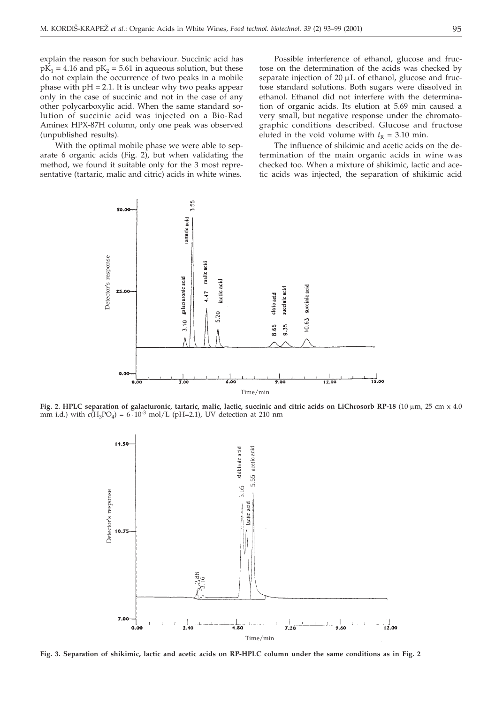explain the reason for such behaviour. Succinic acid has  $p\overline{K}_1$  = 4.16 and  $pK_2$  = 5.61 in aqueous solution, but these do not explain the occurrence of two peaks in a mobile phase with  $pH = 2.1$ . It is unclear why two peaks appear only in the case of succinic and not in the case of any other polycarboxylic acid. When the same standard solution of succinic acid was injected on a Bio-Rad Aminex HPX-87H column, only one peak was observed (unpublished results).

With the optimal mobile phase we were able to separate 6 organic acids (Fig. 2), but when validating the method, we found it suitable only for the 3 most representative (tartaric, malic and citric) acids in white wines.

Possible interference of ethanol, glucose and fructose on the determination of the acids was checked by separate injection of 20  $\mu$ L of ethanol, glucose and fructose standard solutions. Both sugars were dissolved in ethanol. Ethanol did not interfere with the determination of organic acids. Its elution at 5.69 min caused a very small, but negative response under the chromatographic conditions described. Glucose and fructose eluted in the void volume with  $t<sub>R</sub> = 3.10$  min.

The influence of shikimic and acetic acids on the determination of the main organic acids in wine was checked too. When a mixture of shikimic, lactic and acetic acids was injected, the separation of shikimic acid



Fig. 2. HPLC separation of galacturonic, tartaric, malic, lactic, succinic and citric acids on LiChrosorb RP-18 (10 µm, 25 cm x 4.0) mm i.d.) with  $c(H_3PO_4) = 6 \cdot 10^{-3}$  mol/L (pH=2.1), UV detection at 210 nm



**Fig. 3. Separation of shikimic, lactic and acetic acids on RP-HPLC column under the same conditions as in Fig. 2**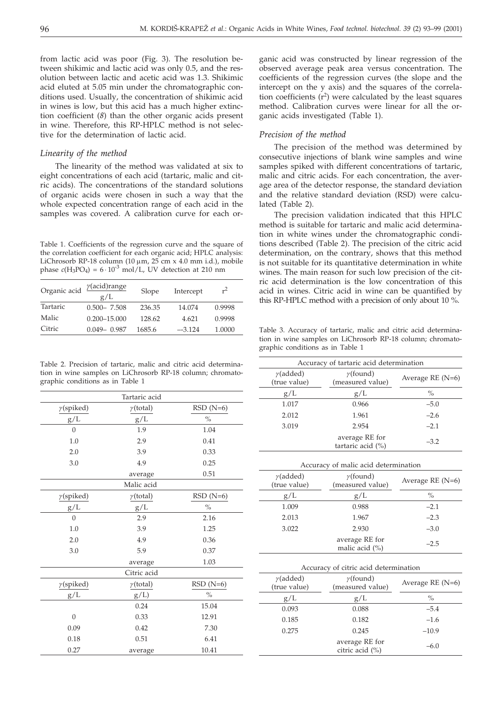from lactic acid was poor (Fig. 3). The resolution between shikimic and lactic acid was only 0.5, and the resolution between lactic and acetic acid was 1.3. Shikimic acid eluted at 5.05 min under the chromatographic conditions used. Usually, the concentration of shikimic acid in wines is low, but this acid has a much higher extinction coefficient (*8*) than the other organic acids present in wine. Therefore, this RP-HPLC method is not selective for the determination of lactic acid.

## *Linearity of the method*

The linearity of the method was validated at six to eight concentrations of each acid (tartaric, malic and citric acids). The concentrations of the standard solutions of organic acids were chosen in such a way that the whole expected concentration range of each acid in the samples was covered. A calibration curve for each or-

Table 1. Coefficients of the regression curve and the square of the correlation coefficient for each organic acid; HPLC analysis: LiChrosorb RP-18 column (10  $\mu$ m, 25 cm x 4.0 mm i.d.), mobile phase  $c(H_3PO_4) = 6 \cdot 10^{-3}$  mol/L, UV detection at 210 nm

| Organic acid | $\gamma$ (acid)range<br>Slope<br>g/L |        | Intercept | $r^2$  |
|--------------|--------------------------------------|--------|-----------|--------|
| Tartaric     | $0.500 - 7.508$                      | 236.35 | 14.074    | 0.9998 |
| Malic        | $0.200 - 15.000$                     | 128.62 | 4.621     | 0.9998 |
| Citric       | $0.049 - 0.987$                      | 1685.6 | $-3.124$  | 1.0000 |

Table 2. Precision of tartaric, malic and citric acid determination in wine samples on LiChrosorb RP-18 column; chromatographic conditions as in Table 1

|                          | Tartaric acid    |               |
|--------------------------|------------------|---------------|
| $\gamma$ (spiked)        | $\gamma$ (total) | $RSD(N=6)$    |
| g/L                      | g/L              | $\frac{0}{0}$ |
| $\Omega$                 | 1.9              | 1.04          |
| 1.0                      | 2.9              | 0.41          |
| 2.0                      | 3.9              | 0.33          |
| 3.0                      | 4.9              | 0.25          |
|                          | average          | 0.51          |
|                          | Malic acid       |               |
| $\gamma$ (spiked)        | $\gamma$ (total) | $RSD(N=6)$    |
| $\rm g/L$                | g/L              | $\%$          |
| $\overline{0}$           | 2.9              | 2.16          |
| 1.0                      | 3.9              | 1.25          |
| 2.0                      | 4.9              | 0.36          |
| 3.0                      | 5.9              | 0.37          |
|                          | average          | 1.03          |
|                          | Citric acid      |               |
| $\gamma$ (spiked)        | $\gamma$ (total) | $RSD(N=6)$    |
| g/L                      | g/L              | $\frac{0}{0}$ |
|                          | 0.24             | 15.04         |
| $\overline{0}$           | 0.33             | 12.91         |
| 0.09                     | 0.42             | 7.30          |
| 0.18                     | 0.51             | 6.41          |
| 0.27<br>10.41<br>average |                  |               |

ganic acid was constructed by linear regression of the observed average peak area versus concentration. The coefficients of the regression curves (the slope and the intercept on the y axis) and the squares of the correlation coefficients  $(r^2)$  were calculated by the least squares method. Calibration curves were linear for all the organic acids investigated (Table 1).

## *Precision of the method*

The precision of the method was determined by consecutive injections of blank wine samples and wine samples spiked with different concentrations of tartaric, malic and citric acids. For each concentration, the average area of the detector response, the standard deviation and the relative standard deviation (RSD) were calculated (Table 2).

The precision validation indicated that this HPLC method is suitable for tartaric and malic acid determination in white wines under the chromatographic conditions described (Table 2). The precision of the citric acid determination, on the contrary, shows that this method is not suitable for its quantitative determination in white wines. The main reason for such low precision of the citric acid determination is the low concentration of this acid in wines. Citric acid in wine can be quantified by this RP-HPLC method with a precision of only about 10 %.

Table 3. Accuracy of tartaric, malic and citric acid determination in wine samples on LiChrosorb RP-18 column; chromatographic conditions as in Table 1

| Accuracy of tartaric acid determination |                                      |                    |  |  |
|-----------------------------------------|--------------------------------------|--------------------|--|--|
| $\gamma$ (added)<br>(true value)        | $\gamma$ (found)<br>(measured value) | Average RE $(N=6)$ |  |  |
| g/L                                     | g/L                                  | $\%$               |  |  |
| 1.017                                   | 0.966                                | $-5.0$             |  |  |
| 2.012                                   | 1.961                                | $-2.6$             |  |  |
| 3.019                                   | 2.954                                | $-2.1$             |  |  |
|                                         | average RE for<br>tartaric acid (%)  | $-3.2$             |  |  |

Accuracy of malic acid determination

| $\gamma$ (added) | $\gamma$ (found)                 | Average RE $(N=6)$ |
|------------------|----------------------------------|--------------------|
| (true value)     | (measured value)                 |                    |
| g/L              | g/L                              | $\%$               |
| 1.009            | 0.988                            | $-2.1$             |
| 2.013            | 1.967                            | $-2.3$             |
| 3.022            | 2.930                            | $-3.0$             |
|                  | average RE for<br>malic acid (%) | $-2.5$             |

| Accuracy of citric acid determination |  |
|---------------------------------------|--|
|---------------------------------------|--|

| $\gamma$ (added)<br>(true value) | $\gamma$ (found)<br>(measured value) | Average RE $(N=6)$ |  |
|----------------------------------|--------------------------------------|--------------------|--|
| g/L                              | g/L                                  | $\%$               |  |
| 0.093                            | 0.088                                | $-5.4$             |  |
| 0.185                            | 0.182                                | $-1.6$             |  |
| 0.275                            | 0.245                                | $-10.9$            |  |
|                                  | average RE for<br>citric acid (%)    | $-6.0$             |  |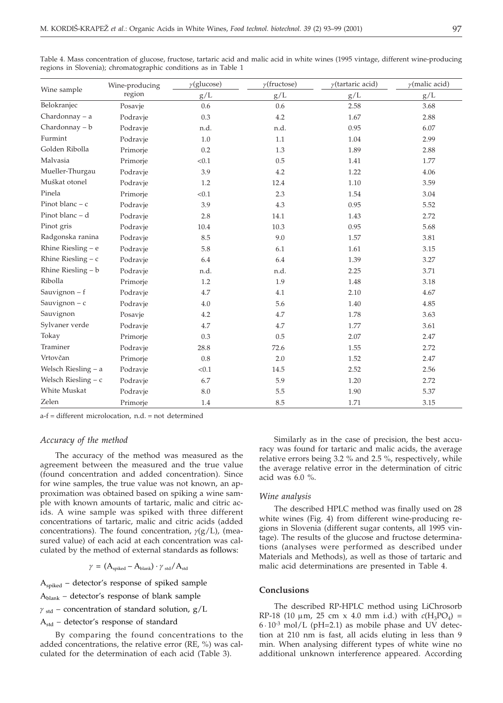|                       | Wine-producing | $\gamma$ (glucose)<br>$\gamma$ (fructose) |      | $\gamma$ (tartaric acid) | $\gamma$ (malic acid) |
|-----------------------|----------------|-------------------------------------------|------|--------------------------|-----------------------|
| Wine sample           | region         | g/L                                       | g/L  | g/L                      | $\rm g/L$             |
| Belokranjec           | Posavje        | 0.6                                       | 0.6  | 2.58                     | 3.68                  |
| Chardonnay $-$ a      | Podravje       | 0.3                                       | 4.2  | 1.67                     | 2.88                  |
| Chardonnay - b        | Podravje       | n.d.                                      | n.d. | 0.95                     | 6.07                  |
| Furmint               | Podravje       | 1.0                                       | 1.1  | 1.04                     | 2.99                  |
| Golden Ribolla        | Primorje       | 0.2                                       | 1.3  | 1.89                     | 2.88                  |
| Malvasia              | Primorje       | < 0.1                                     | 0.5  | 1.41                     | 1.77                  |
| Mueller-Thurgau       | Podravje       | 3.9                                       | 4.2  | 1.22                     | 4.06                  |
| Muškat otonel         | Podravje       | 1.2                                       | 12.4 | 1.10                     | 3.59                  |
| Pinela                | Primorje       | < 0.1                                     | 2.3  | 1.54                     | 3.04                  |
| Pinot blanc $- c$     | Podravje       | 3.9                                       | 4.3  | 0.95                     | 5.52                  |
| Pinot blanc - d       | Podravje       | 2.8                                       | 14.1 | 1.43                     | 2.72                  |
| Pinot gris            | Podravje       | 10.4                                      | 10.3 | 0.95                     | 5.68                  |
| Radgonska ranina      | Podravje       | 8.5                                       | 9.0  | 1.57                     | 3.81                  |
| Rhine Riesling $-$ e  | Podravje       | 5.8                                       | 6.1  | 1.61                     | 3.15                  |
| Rhine Riesling $- c$  | Podravje       | 6.4                                       | 6.4  | 1.39                     | 3.27                  |
| Rhine Riesling $- b$  | Podravje       | n.d.                                      | n.d. | 2.25                     | 3.71                  |
| Ribolla               | Primorje       | 1.2                                       | 1.9  | 1.48                     | 3.18                  |
| Sauvignon $- f$       | Podravje       | 4.7                                       | 4.1  | 2.10                     | 4.67                  |
| Sauvignon $- c$       | Podravje       | 4.0                                       | 5.6  | 1.40                     | 4.85                  |
| Sauvignon             | Posavje        | 4.2                                       | 4.7  | 1.78                     | 3.63                  |
| Sylvaner verde        | Podravje       | 4.7                                       | 4.7  | 1.77                     | 3.61                  |
| Tokay                 | Primorje       | 0.3                                       | 0.5  | 2.07                     | 2.47                  |
| Traminer              | Podravje       | 28.8                                      | 72.6 | 1.55                     | 2.72                  |
| Vrtovčan              | Primorje       | 0.8                                       | 2.0  | 1.52                     | 2.47                  |
| Welsch Riesling - a   | Podravje       | < 0.1                                     | 14.5 | 2.52                     | 2.56                  |
| Welsch Riesling $- c$ | Podravje       | 6.7                                       | 5.9  | 1.20                     | 2.72                  |
| White Muskat          | Podravje       | 8.0                                       | 5.5  | 1.90                     | 5.37                  |
| Zelen                 | Primorje       | 1.4                                       | 8.5  | 1.71                     | 3.15                  |

Table 4. Mass concentration of glucose, fructose, tartaric acid and malic acid in white wines (1995 vintage, different wine-producing regions in Slovenia); chromatographic conditions as in Table 1

a-f = different microlocation, n.d. = not determined

# *Accuracy of the method*

The accuracy of the method was measured as the agreement between the measured and the true value (found concentration and added concentration). Since for wine samples, the true value was not known, an approximation was obtained based on spiking a wine sample with known amounts of tartaric, malic and citric acids. A wine sample was spiked with three different concentrations of tartaric, malic and citric acids (added concentrations). The found concentration,  $\gamma(g/L)$ , (measured value) of each acid at each concentration was calculated by the method of external standards as follows:

 $\gamma = (A_{\text{sniked}} - A_{\text{blank}}) \cdot \gamma_{\text{std}} / A_{\text{std}}$ 

 $A<sub>snimed</sub>$  – detector's response of spiked sample

 $A<sub>blank</sub>$  – detector's response of blank sample

 $\gamma_{\rm std}$  – concentration of standard solution, g/L

Astd – detector's response of standard

By comparing the found concentrations to the added concentrations, the relative error (RE, %) was calculated for the determination of each acid (Table 3).

Similarly as in the case of precision, the best accuracy was found for tartaric and malic acids, the average relative errors being 3.2 % and 2.5 %, respectively, while the average relative error in the determination of citric acid was 6.0 %.

#### *Wine analysis*

The described HPLC method was finally used on 28 white wines (Fig. 4) from different wine-producing regions in Slovenia (different sugar contents, all 1995 vintage). The results of the glucose and fructose determinations (analyses were performed as described under Materials and Methods), as well as those of tartaric and malic acid determinations are presented in Table 4.

### **Conclusions**

The described RP-HPLC method using LiChrosorb RP-18 (10  $\mu$ m, 25 cm x 4.0 mm i.d.) with  $c(H_3PO_4)$  =  $6 \cdot 10^{-3}$  mol/L (pH=2.1) as mobile phase and UV detection at 210 nm is fast, all acids eluting in less than 9 min. When analysing different types of white wine no additional unknown interference appeared. According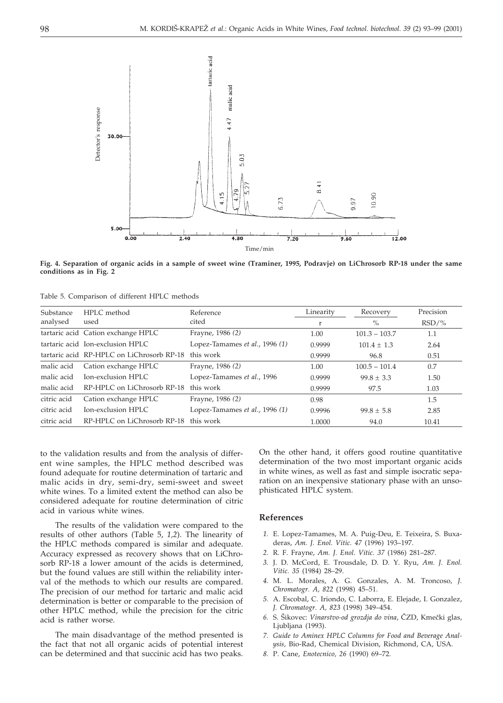

**Fig. 4. Separation of organic acids in a sample of sweet wine (Traminer, 1995, Podravje) on LiChrosorb RP-18 under the same conditions as in Fig. 2**

Table 5. Comparison of different HPLC methods

| Substance   | HPLC method                               | Reference                      | Linearity | Recovery        | Precision |
|-------------|-------------------------------------------|--------------------------------|-----------|-----------------|-----------|
| analysed    | used                                      | cited                          | r         | $\%$            | $RSD/\%$  |
|             | tartaric acid Cation exchange HPLC        | Frayne, 1986 (2)               | 1.00      | $101.3 - 103.7$ | 1.1       |
|             | tartaric acid Ion-exclusion HPLC          | Lopez-Tamames et al., 1996 (1) | 0.9999    | $101.4 + 1.3$   | 2.64      |
|             | tartaric acid RP-HPLC on LiChrosorb RP-18 | this work                      | 0.9999    | 96.8            | 0.51      |
| malic acid  | Cation exchange HPLC                      | Frayne, 1986 (2)               | 1.00      | $100.5 - 101.4$ | 0.7       |
| malic acid  | Ion-exclusion HPLC                        | Lopez-Tamames et al., 1996     | 0.9999    | $99.8 + 3.3$    | 1.50      |
| malic acid  | RP-HPLC on LiChrosorb RP-18               | this work                      | 0.9999    | 97.5            | 1.03      |
| citric acid | Cation exchange HPLC                      | Frayne, 1986 (2)               | 0.98      |                 | 1.5       |
| citric acid | Ion-exclusion HPLC                        | Lopez-Tamames et al., 1996 (1) | 0.9996    | $99.8 + 5.8$    | 2.85      |
| citric acid | RP-HPLC on LiChrosorb RP-18               | this work                      | 1.0000    | 94.0            | 10.41     |

to the validation results and from the analysis of different wine samples, the HPLC method described was found adequate for routine determination of tartaric and malic acids in dry, semi-dry, semi-sweet and sweet white wines. To a limited extent the method can also be considered adequate for routine determination of citric acid in various white wines.

The results of the validation were compared to the results of other authors (Table 5, *1,2*). The linearity of the HPLC methods compared is similar and adequate. Accuracy expressed as recovery shows that on LiChrosorb RP-18 a lower amount of the acids is determined, but the found values are still within the reliability interval of the methods to which our results are compared. The precision of our method for tartaric and malic acid determination is better or comparable to the precision of other HPLC method, while the precision for the citric acid is rather worse.

The main disadvantage of the method presented is the fact that not all organic acids of potential interest can be determined and that succinic acid has two peaks. On the other hand, it offers good routine quantitative determination of the two most important organic acids in white wines, as well as fast and simple isocratic separation on an inexpensive stationary phase with an unsophisticated HPLC system.

# **References**

- *1.* E. Lopez-Tamames, M. A. Puig-Deu, E. Teixeira, S. Buxaderas, *Am. J. Enol. Vitic. 47* (1996) 193–197.
- *2.* R. F. Frayne, *Am. J. Enol. Vitic. 37* (1986) 281–287.
- *3.* J. D. McCord, E. Trousdale, D. D. Y. Ryu, *Am. J. Enol. Vitic. 35* (1984) 28–29.
- *4.* M. L. Morales, A. G. Gonzales, A. M. Troncoso, *J. Chromatogr. A, 822* (1998) 45–51.
- *5.* A. Escobal, C. Iriondo, C. Laborra, E. Elejade, I. Gonzalez, *J. Chromatogr. A, 823* (1998) 349–454.
- 6. S. Šikovec: *Vinarstvo-od grozdja do vina*, ČZD, Kmečki glas, Liubliana (1993).
- *7. Guide to Aminex HPLC Columns for Food and Beverage Analysis,* Bio-Rad, Chemical Division, Richmond, CA, USA.
- *8.* P. Cane, *Enotecnico, 26* (1990) 69–72.